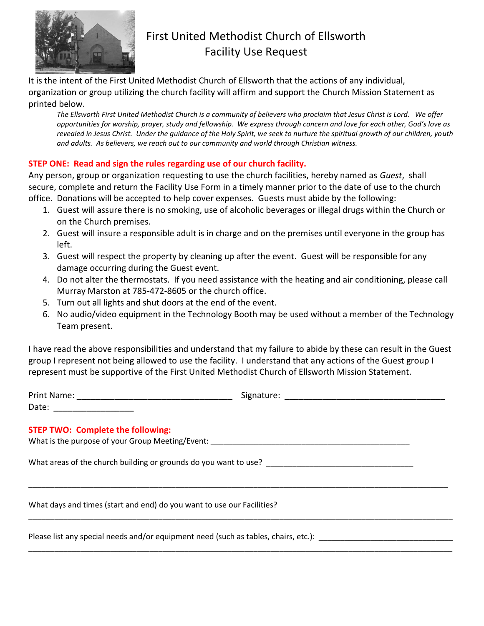

## First United Methodist Church of Ellsworth Facility Use Request

It is the intent of the First United Methodist Church of Ellsworth that the actions of any individual, organization or group utilizing the church facility will affirm and support the Church Mission Statement as printed below.

*The Ellsworth First United Methodist Church is a community of believers who proclaim that Jesus Christ is Lord. We offer opportunities for worship, prayer, study and fellowship. We express through concern and love for each other, God's love as revealed in Jesus Christ. Under the guidance of the Holy Spirit, we seek to nurture the spiritual growth of our children, youth and adults. As believers, we reach out to our community and world through Christian witness.*

## **STEP ONE: Read and sign the rules regarding use of our church facility.**

Any person, group or organization requesting to use the church facilities, hereby named as *Guest*, shall secure, complete and return the Facility Use Form in a timely manner prior to the date of use to the church office. Donations will be accepted to help cover expenses. Guests must abide by the following:

- 1. Guest will assure there is no smoking, use of alcoholic beverages or illegal drugs within the Church or on the Church premises.
- 2. Guest will insure a responsible adult is in charge and on the premises until everyone in the group has left.
- 3. Guest will respect the property by cleaning up after the event. Guest will be responsible for any damage occurring during the Guest event.
- 4. Do not alter the thermostats. If you need assistance with the heating and air conditioning, please call Murray Marston at 785-472-8605 or the church office.
- 5. Turn out all lights and shut doors at the end of the event.
- 6. No audio/video equipment in the Technology Booth may be used without a member of the Technology Team present.

I have read the above responsibilities and understand that my failure to abide by these can result in the Guest group I represent not being allowed to use the facility. I understand that any actions of the Guest group I represent must be supportive of the First United Methodist Church of Ellsworth Mission Statement.

| <b>STEP TWO: Complete the following:</b>                                            |  |
|-------------------------------------------------------------------------------------|--|
|                                                                                     |  |
| What days and times (start and end) do you want to use our Facilities?              |  |
| Please list any special needs and/or equipment need (such as tables, chairs, etc.): |  |

\_\_\_\_\_\_\_\_\_\_\_\_\_\_\_\_\_\_\_\_\_\_\_\_\_\_\_\_\_\_\_\_\_\_\_\_\_\_\_\_\_\_\_\_\_\_\_\_\_\_\_\_\_\_\_\_\_\_\_\_\_\_\_\_\_\_\_\_\_\_\_\_\_\_\_\_\_\_\_\_\_\_\_\_\_\_\_\_\_\_\_\_\_\_\_\_\_\_